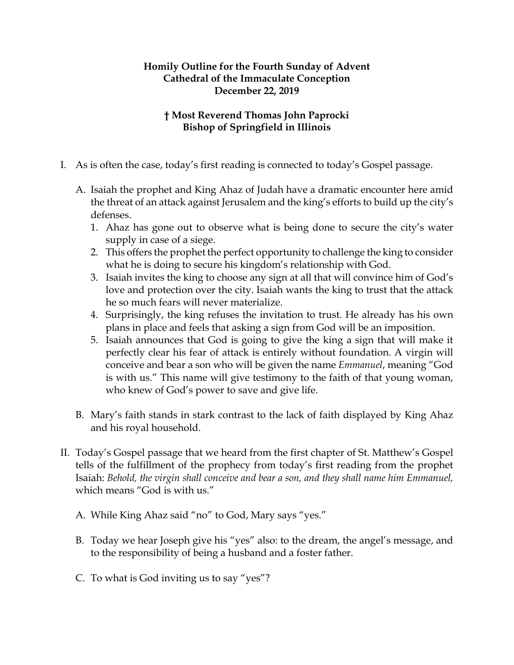## **Homily Outline for the Fourth Sunday of Advent Cathedral of the Immaculate Conception December 22, 2019**

## **† Most Reverend Thomas John Paprocki Bishop of Springfield in Illinois**

- I. As is often the case, today's first reading is connected to today's Gospel passage.
	- A. Isaiah the prophet and King Ahaz of Judah have a dramatic encounter here amid the threat of an attack against Jerusalem and the king's efforts to build up the city's defenses.
		- 1. Ahaz has gone out to observe what is being done to secure the city's water supply in case of a siege.
		- 2. This offers the prophet the perfect opportunity to challenge the king to consider what he is doing to secure his kingdom's relationship with God.
		- 3. Isaiah invites the king to choose any sign at all that will convince him of God's love and protection over the city. Isaiah wants the king to trust that the attack he so much fears will never materialize.
		- 4. Surprisingly, the king refuses the invitation to trust. He already has his own plans in place and feels that asking a sign from God will be an imposition.
		- 5. Isaiah announces that God is going to give the king a sign that will make it perfectly clear his fear of attack is entirely without foundation. A virgin will conceive and bear a son who will be given the name *Emmanuel*, meaning "God is with us." This name will give testimony to the faith of that young woman, who knew of God's power to save and give life.
	- B. Mary's faith stands in stark contrast to the lack of faith displayed by King Ahaz and his royal household.
- II. Today's Gospel passage that we heard from the first chapter of St. Matthew's Gospel tells of the fulfillment of the prophecy from today's first reading from the prophet Isaiah: *Behold, the virgin shall conceive and bear a son, and they shall name him Emmanuel,* which means "God is with us."
	- A. While King Ahaz said "no" to God, Mary says "yes."
	- B. Today we hear Joseph give his "yes" also: to the dream, the angel's message, and to the responsibility of being a husband and a foster father.
	- C. To what is God inviting us to say "yes"?